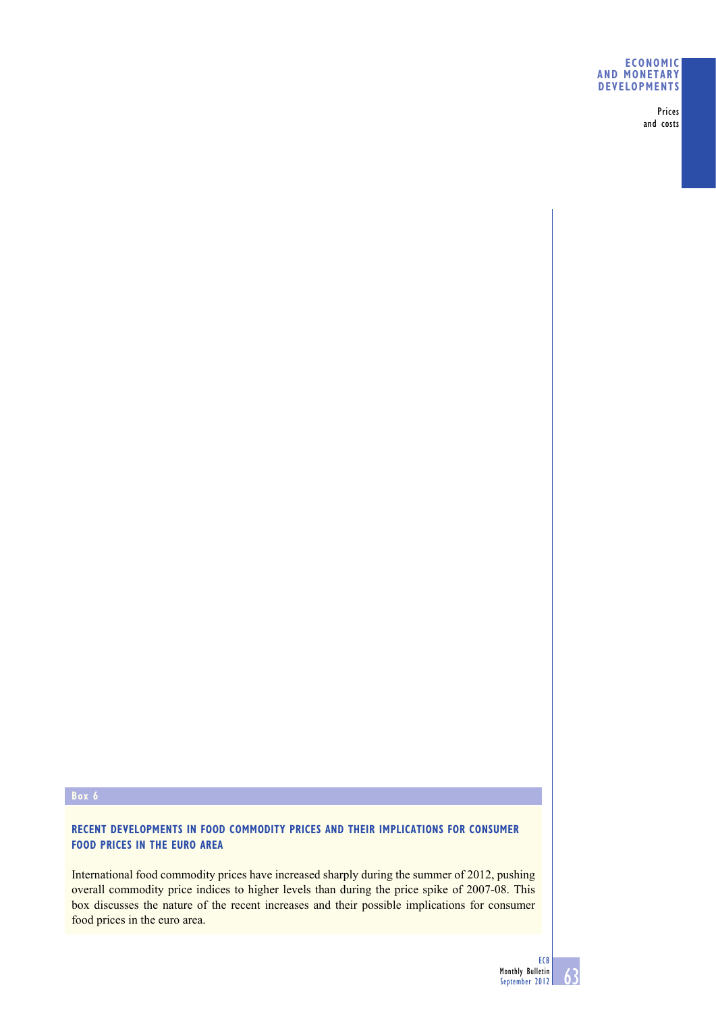## **ECONOMIC AND MONETARY DEVELOPMENTS**

Prices and costs

# **Box 6**

# **RECENT DEVELOPMENTS IN FOOD COMMODITY PRICES AND THEIR IMPLICATIONS FOR CONSUMER FOOD PRICES IN THE EURO AREA**

International food commodity prices have increased sharply during the summer of 2012, pushing overall commodity price indices to higher levels than during the price spike of 2007-08. This box discusses the nature of the recent increases and their possible implications for consumer food prices in the euro area.

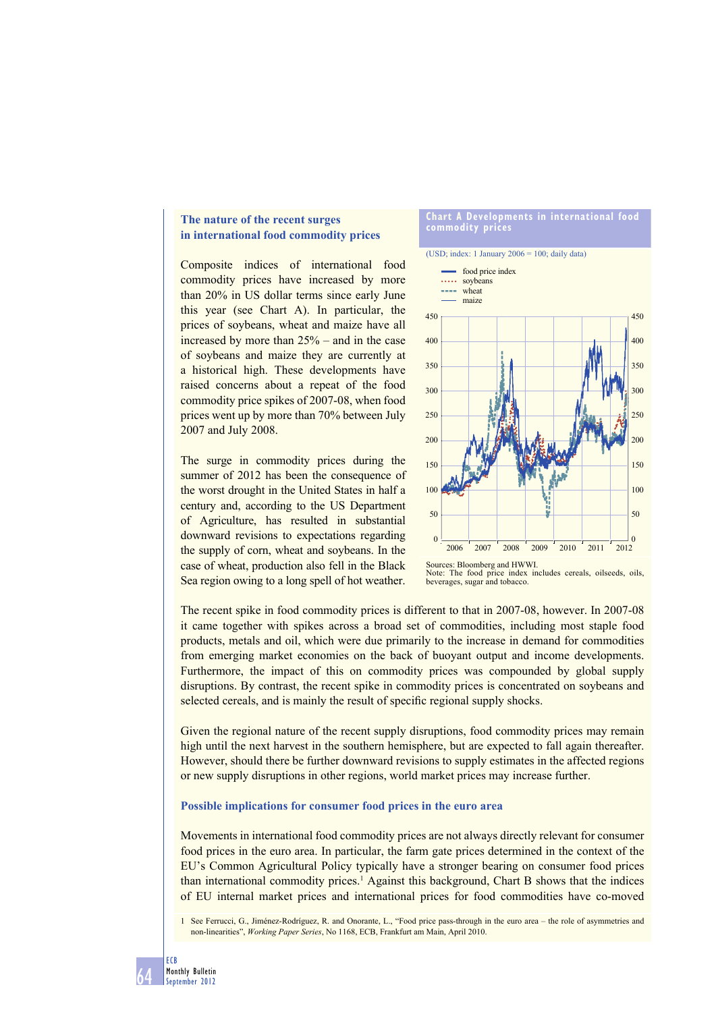# **The nature of the recent surges in international food commodity prices**

Composite indices of international food commodity prices have increased by more than 20% in US dollar terms since early June this year (see Chart A). In particular, the prices of soybeans, wheat and maize have all increased by more than 25% – and in the case of soybeans and maize they are currently at a historical high. These developments have raised concerns about a repeat of the food commodity price spikes of 2007-08, when food prices went up by more than 70% between July 2007 and July 2008.

The surge in commodity prices during the summer of 2012 has been the consequence of the worst drought in the United States in half a century and, according to the US Department of Agriculture, has resulted in substantial downward revisions to expectations regarding the supply of corn, wheat and soybeans. In the case of wheat, production also fell in the Black Sea region owing to a long spell of hot weather.

### **Chart A Developments in international food commodity prices**

(USD; index: 1 January  $2006 = 100$ ; daily data)



Sources: Bloomberg and HWWI. The food price index includes cereals, oilseeds, oils, beverages, sugar and tobacco.

The recent spike in food commodity prices is different to that in 2007-08, however. In 2007-08 it came together with spikes across a broad set of commodities, including most staple food products, metals and oil, which were due primarily to the increase in demand for commodities from emerging market economies on the back of buoyant output and income developments. Furthermore, the impact of this on commodity prices was compounded by global supply disruptions. By contrast, the recent spike in commodity prices is concentrated on soybeans and selected cereals, and is mainly the result of specific regional supply shocks.

Given the regional nature of the recent supply disruptions, food commodity prices may remain high until the next harvest in the southern hemisphere, but are expected to fall again thereafter. However, should there be further downward revisions to supply estimates in the affected regions or new supply disruptions in other regions, world market prices may increase further.

### **Possible implications for consumer food prices in the euro area**

Movements in international food commodity prices are not always directly relevant for consumer food prices in the euro area. In particular, the farm gate prices determined in the context of the EU's Common Agricultural Policy typically have a stronger bearing on consumer food prices than international commodity prices.<sup>1</sup> Against this background, Chart B shows that the indices of EU internal market prices and international prices for food commodities have co-moved

1 See Ferrucci, G., Jiménez-Rodríguez, R. and Onorante, L., "Food price pass-through in the euro area – the role of asymmetries and non-linearities", *Working Paper Series*, No 1168, ECB, Frankfurt am Main, April 2010.

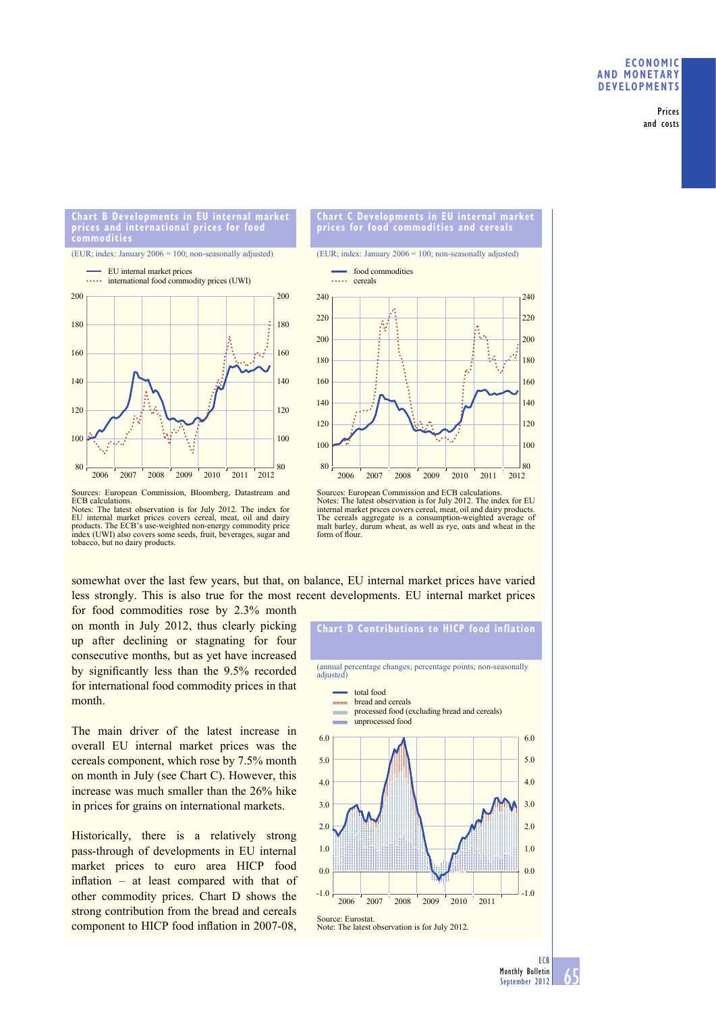Prices and costs

#### **Chart B Developments in EU internal market prices and international prices for food commodities**

#### (EUR; index: January 2006 = 100; non-seasonally adjusted)





(EUR; index: January 2006 = 100; non-seasonally adjusted)



Sources: European Commission, Bloomberg, Datastream and ECB calculations. Notes: The latest observation is for July 2012. The index for EU internal market prices covers cereal, meat, oil and dairy products. The ECB's use-weighted non-energy commodity price products. The ECB's use-weighted non-energy commodity price index (UWI) also covers some seeds, fruit, beverages, sugar and tobacco, but no dairy products.

Sources: European Commission and ECB calculations. Notes: The latest observation is for July 2012. The index for EU internal market prices covers cereal, meat, oil and dairy products. The cereals aggregate is a consumption-weighted average of malt barley, durum wheat, as well as rye, oats and wheat in the form of flour.

somewhat over the last few years, but that, on balance, EU internal market prices have varied less strongly. This is also true for the most recent developments. EU internal market prices

for food commodities rose by 2.3% month on month in July 2012, thus clearly picking up after declining or stagnating for four consecutive months, but as yet have increased by significantly less than the 9.5% recorded for international food commodity prices in that month.

The main driver of the latest increase in overall EU internal market prices was the cereals component, which rose by 7.5% month on month in July (see Chart C). However, this increase was much smaller than the 26% hike in prices for grains on international markets.

Historically, there is a relatively strong pass-through of developments in EU internal market prices to euro area HICP food inflation – at least compared with that of other commodity prices. Chart D shows the strong contribution from the bread and cereals component to HICP food inflation in 2007-08,